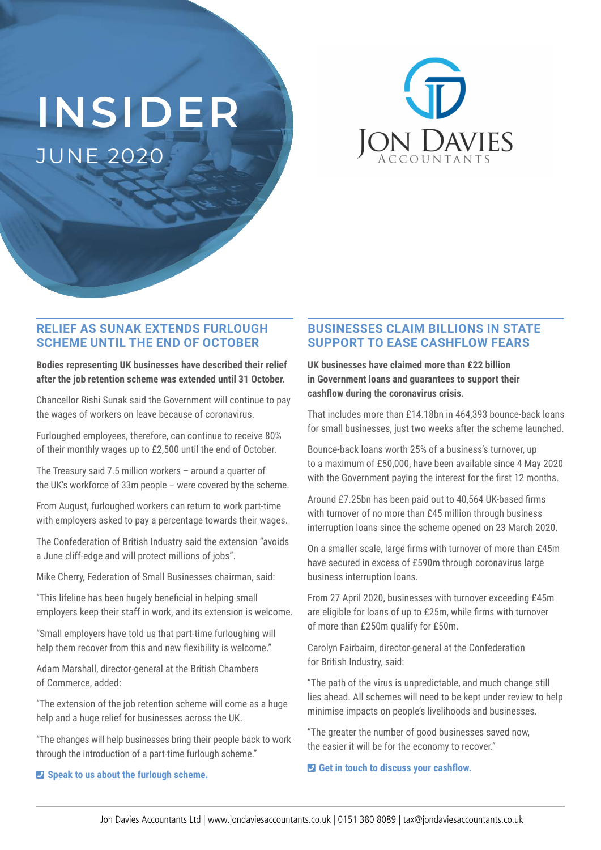# **INSIDER** JUNE 2020



## **RELIEF AS SUNAK EXTENDS FURLOUGH SCHEME UNTIL THE END OF OCTOBER**

**Bodies representing UK businesses have described their relief after the job retention scheme was extended until 31 October.** 

Chancellor Rishi Sunak said the Government will continue to pay the wages of workers on leave because of coronavirus.

Furloughed employees, therefore, can continue to receive 80% of their monthly wages up to £2,500 until the end of October.

The Treasury said 7.5 million workers – around a quarter of the UK's workforce of 33m people – were covered by the scheme.

From August, furloughed workers can return to work part-time with employers asked to pay a percentage towards their wages.

The Confederation of British Industry said the extension "avoids a June cliff-edge and will protect millions of jobs".

Mike Cherry, Federation of Small Businesses chairman, said:

"This lifeline has been hugely beneficial in helping small employers keep their staff in work, and its extension is welcome.

"Small employers have told us that part-time furloughing will help them recover from this and new flexibility is welcome."

Adam Marshall, director-general at the British Chambers of Commerce, added:

"The extension of the job retention scheme will come as a huge help and a huge relief for businesses across the UK.

"The changes will help businesses bring their people back to work through the introduction of a part-time furlough scheme."

#### ¶ **Speak to us about the furlough scheme.**

# **BUSINESSES CLAIM BILLIONS IN STATE SUPPORT TO EASE CASHFLOW FEARS**

**UK businesses have claimed more than £22 billion in Government loans and guarantees to support their cashflow during the coronavirus crisis.** 

That includes more than £14.18bn in 464,393 bounce-back loans for small businesses, just two weeks after the scheme launched.

Bounce-back loans worth 25% of a business's turnover, up to a maximum of £50,000, have been available since 4 May 2020 with the Government paying the interest for the first 12 months.

Around £7.25bn has been paid out to 40,564 UK-based firms with turnover of no more than £45 million through business interruption loans since the scheme opened on 23 March 2020.

On a smaller scale, large firms with turnover of more than £45m have secured in excess of £590m through coronavirus large business interruption loans.

From 27 April 2020, businesses with turnover exceeding £45m are eligible for loans of up to £25m, while firms with turnover of more than £250m qualify for £50m.

Carolyn Fairbairn, director-general at the Confederation for British Industry, said:

"The path of the virus is unpredictable, and much change still lies ahead. All schemes will need to be kept under review to help minimise impacts on people's livelihoods and businesses.

"The greater the number of good businesses saved now, the easier it will be for the economy to recover."

#### ¶ **Get in touch to discuss your cashflow.**